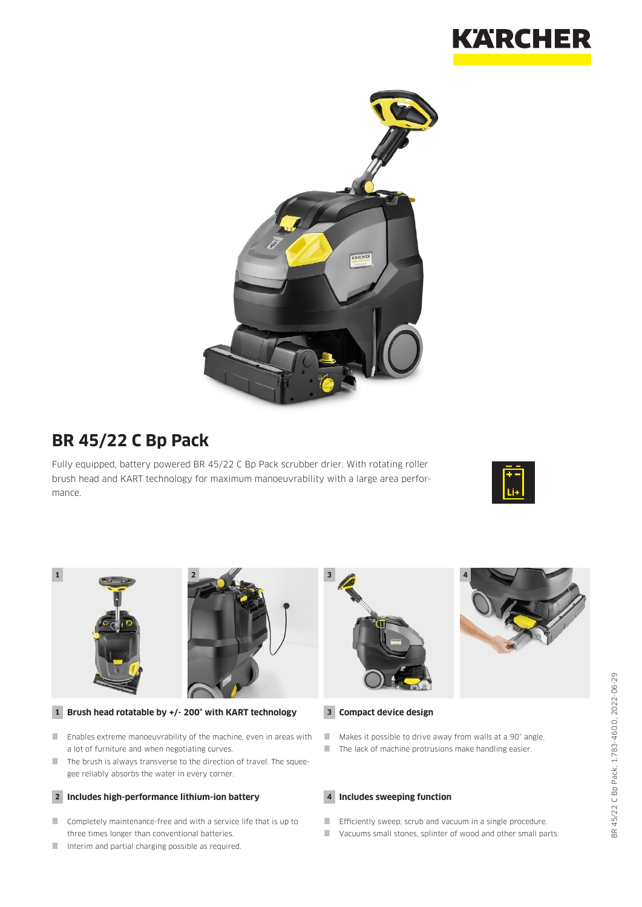



## **BR 45/22 C Bp Pack**

Fully equipped, battery powered BR 45/22 C Bp Pack scrubber drier. With rotating roller brush head and KART technology for maximum manoeuvrability with a large area performance.





- Enables extreme manoeuvrability of the machine, even in areas with a lot of furniture and when negotiating curves.
- The brush is always transverse to the direction of travel. The squeegee reliably absorbs the water in every corner.

#### **2 Includes high-performance lithium-ion battery**

- Completely maintenance-free and with a service life that is up to three times longer than conventional batteries.
- Interim and partial charging possible as required.



Makes it possible to drive away from walls at a 90° angle. **The lack of machine protrusions make handling easier.** 

**4 Includes sweeping function**

- **Efficiently sweep, scrub and vacuum in a single procedure.**
- Vacuums small stones, splinter of wood and other small parts.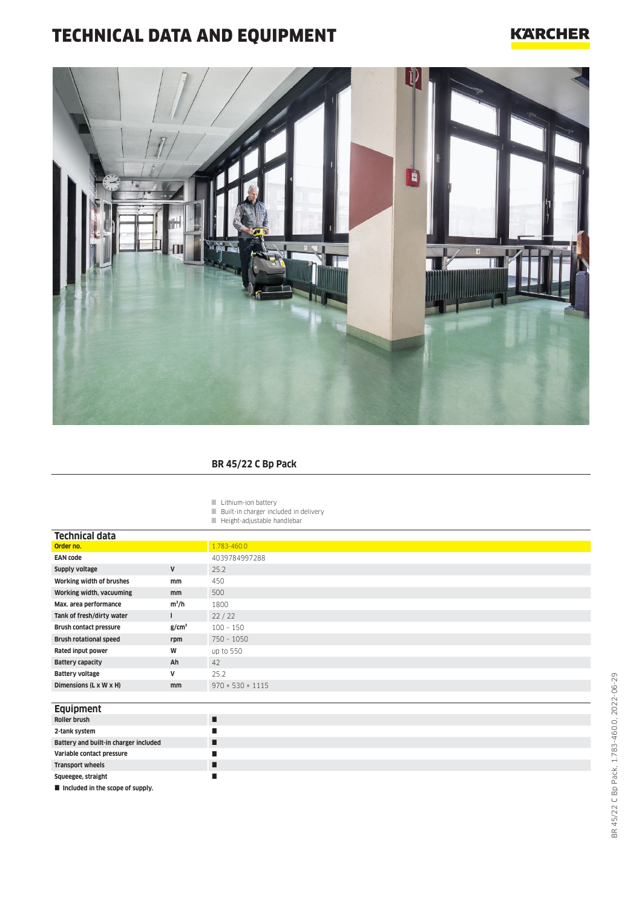# TECHNICAL DATA AND EQUIPMENT

#### **KARCHER**



#### **BR 45/22 C Bp Pack**

Lithium-ion battery

- **Built-in charger included in delivery**
- **Height-adjustable handlebar**

| <b>Technical data</b>         |                   |                              |
|-------------------------------|-------------------|------------------------------|
| Order no.                     |                   | 1.783-460.0                  |
| <b>EAN code</b>               |                   | 4039784997288                |
| Supply voltage                | V                 | 25.2                         |
| Working width of brushes      | mm                | 450                          |
| Working width, vacuuming      | mm                | 500                          |
| Max. area performance         | $m^2/h$           | 1800                         |
| Tank of fresh/dirty water     |                   | 22/22                        |
| <b>Brush contact pressure</b> | g/cm <sup>2</sup> | $100 - 150$                  |
| <b>Brush rotational speed</b> | rpm               | $750 - 1050$                 |
| Rated input power             | W                 | up to 550                    |
| <b>Battery capacity</b>       | Ah                | 42                           |
| <b>Battery voltage</b>        | v                 | 25.2                         |
| Dimensions (L x W x H)        | <sub>mm</sub>     | $970 \times 530 \times 1115$ |
|                               |                   |                              |

| <b>Equipment</b>                      |   |
|---------------------------------------|---|
| Roller brush                          | ш |
| 2-tank system                         |   |
| Battery and built-in charger included |   |
| Variable contact pressure             |   |
| Transport wheels                      |   |
| Squeegee, straight                    |   |
| Included in the scope of supply.      |   |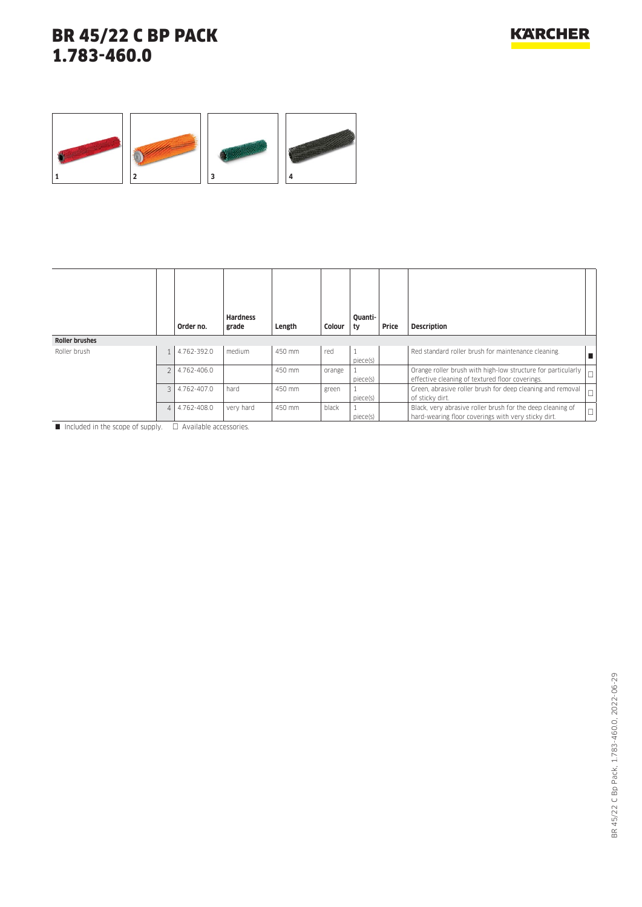

|                       |   | Order no.   | <b>Hardness</b><br>grade | Length | Colour | Ouanti-<br>ty | Price | <b>Description</b>                                                                                                |        |
|-----------------------|---|-------------|--------------------------|--------|--------|---------------|-------|-------------------------------------------------------------------------------------------------------------------|--------|
| <b>Roller brushes</b> |   |             |                          |        |        |               |       |                                                                                                                   |        |
| Roller brush          |   | 4.762-392.0 | medium                   | 450 mm | red    | piece(s)      |       | Red standard roller brush for maintenance cleaning.                                                               |        |
|                       |   | 4.762-406.0 |                          | 450 mm | orange | piece(s)      |       | Orange roller brush with high-low structure for particularly<br>effective cleaning of textured floor coverings.   | $\Box$ |
|                       | 3 | 4.762-407.0 | hard                     | 450 mm | green  | piece(s)      |       | Green, abrasive roller brush for deep cleaning and removal<br>of sticky dirt.                                     | $\Box$ |
|                       | 4 | 4.762-408.0 | very hard                | 450 mm | black  | piece(s)      |       | Black, very abrasive roller brush for the deep cleaning of<br>hard-wearing floor coverings with very sticky dirt. | $\Box$ |

 $\Box$  Included in the scope of supply.  $\Box$  Available accessories.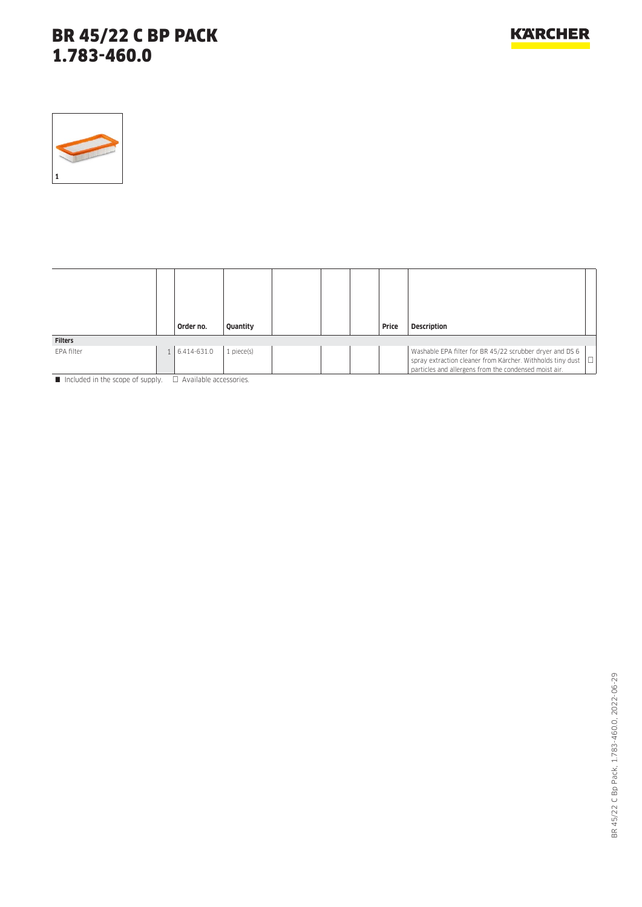

|                | Order no.   | Quantity   |  | Price | <b>Description</b>                                                                                                                                                              |        |
|----------------|-------------|------------|--|-------|---------------------------------------------------------------------------------------------------------------------------------------------------------------------------------|--------|
| <b>Filters</b> |             |            |  |       |                                                                                                                                                                                 |        |
| EPA filter     | 6.414-631.0 | 1 piece(s) |  |       | Washable EPA filter for BR 45/22 scrubber dryer and DS 6<br>spray extraction cleaner from Kärcher. Withholds tiny dust<br>particles and allergens from the condensed moist air. | $\Box$ |

Included in the scope of supply.  $\Box$  Available accessories.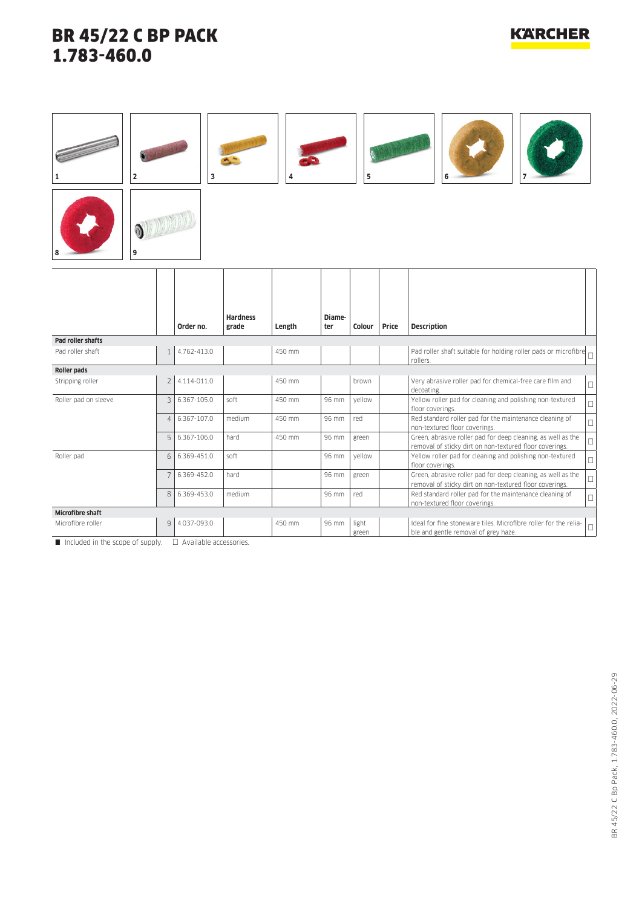ſ

#### **KARCHER**

| 2                       |                | 3             |                          | 4      |               | 5              |       | 6                                                                                                                       |   |
|-------------------------|----------------|---------------|--------------------------|--------|---------------|----------------|-------|-------------------------------------------------------------------------------------------------------------------------|---|
| 9                       |                |               |                          |        |               |                |       |                                                                                                                         |   |
|                         |                | Order no.     | <b>Hardness</b><br>grade | Length | Diame-<br>ter | Colour         | Price | <b>Description</b>                                                                                                      |   |
| Pad roller shafts       |                |               |                          |        |               |                |       |                                                                                                                         |   |
| Pad roller shaft        | 1              | 4.762-413.0   |                          | 450 mm |               |                |       | Pad roller shaft suitable for holding roller pads or microfibre<br>rollers.                                             |   |
| Roller pads             |                |               |                          |        |               |                |       |                                                                                                                         |   |
| Stripping roller        | 2 <sup>1</sup> | 4.114-011.0   |                          | 450 mm |               | brown          |       | Very abrasive roller pad for chemical-free care film and<br>decoating.                                                  | Г |
| Roller pad on sleeve    |                | 3 6.367-105.0 | soft                     | 450 mm | 96 mm         | yellow         |       | Yellow roller pad for cleaning and polishing non-textured<br>floor coverings.                                           |   |
|                         | $\overline{4}$ | 6.367-107.0   | medium                   | 450 mm | 96 mm         | red            |       | Red standard roller pad for the maintenance cleaning of<br>non-textured floor coverings.                                |   |
|                         | 5              | 6.367-106.0   | hard                     | 450 mm | 96 mm         | green          |       | Green, abrasive roller pad for deep cleaning, as well as the<br>removal of sticky dirt on non-textured floor coverings. |   |
| Roller pad              | 6              | 6.369-451.0   | soft                     |        | 96 mm         | vellow         |       | Yellow roller pad for cleaning and polishing non-textured<br>floor coverings.                                           |   |
|                         | 7              | 6.369-452.0   | hard                     |        | 96 mm         | green          |       | Green, abrasive roller pad for deep cleaning, as well as the<br>removal of sticky dirt on non-textured floor coverings. |   |
|                         | 8              | 6.369-453.0   | medium                   |        | 96 mm         | red            |       | Red standard roller pad for the maintenance cleaning of<br>non-textured floor coverings.                                |   |
| <b>Microfibre shaft</b> |                |               |                          |        |               |                |       |                                                                                                                         |   |
| Microfibre roller       | 9              | 4.037-093.0   |                          | 450 mm | 96 mm         | light<br>green |       | Ideal for fine stoneware tiles. Microfibre roller for the relia-<br>ble and gentle removal of grey haze.                |   |

 $\overline{\Box}$  Included in the scope of supply.  $\Box$  Available accessories.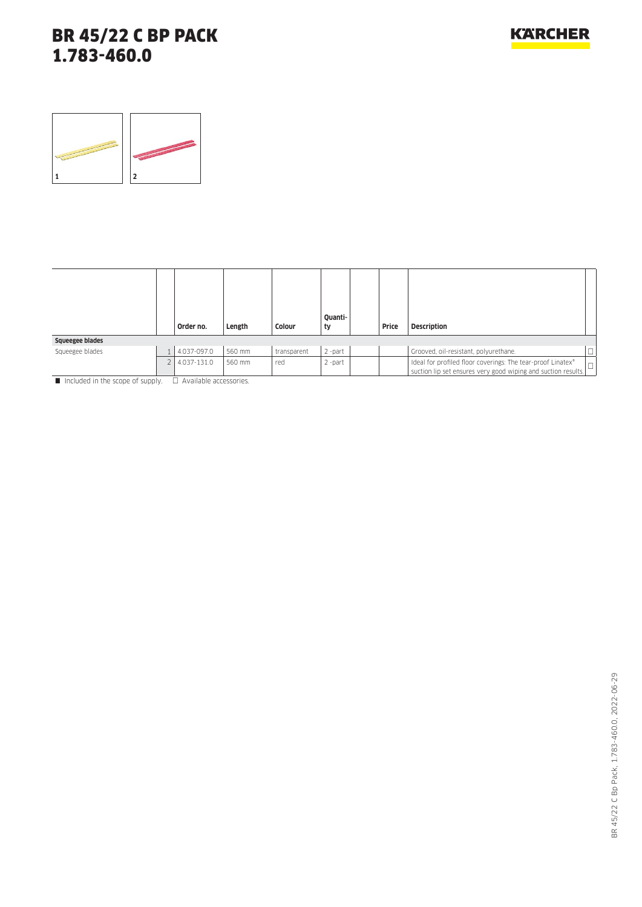

|                                                                                | Order no.   | Length | Colour      | Quanti-<br>ty | Price | <b>Description</b>                                                                                                                                |  |
|--------------------------------------------------------------------------------|-------------|--------|-------------|---------------|-------|---------------------------------------------------------------------------------------------------------------------------------------------------|--|
| Squeegee blades                                                                |             |        |             |               |       |                                                                                                                                                   |  |
| Squeegee blades                                                                | 4.037-097.0 | 560 mm | transparent | $2$ -part     |       | Grooved, oil-resistant, polyurethane.                                                                                                             |  |
|                                                                                | 4.037-131.0 | 560 mm | red         | $2$ -part     |       | Ideal for profiled floor coverings: The tear-proof Linatex®<br>$^{\prime}$ suction lip set ensures very good wiping and suction results. $ \Box $ |  |
| $\blacksquare$ Included in the coase of curature $\Box$ Augustable accessories |             |        |             |               |       |                                                                                                                                                   |  |

Included in the scope of supply.  $\Box$  Available accessories.